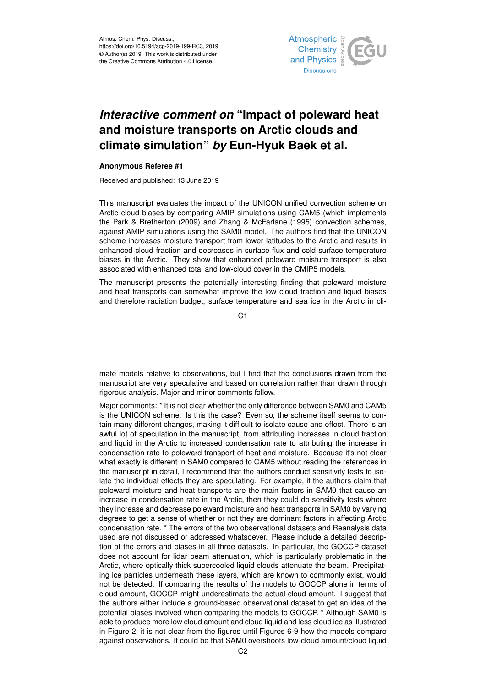

## *Interactive comment on* **"Impact of poleward heat and moisture transports on Arctic clouds and climate simulation"** *by* **Eun-Hyuk Baek et al.**

## **Anonymous Referee #1**

Received and published: 13 June 2019

This manuscript evaluates the impact of the UNICON unified convection scheme on Arctic cloud biases by comparing AMIP simulations using CAM5 (which implements the Park & Bretherton (2009) and Zhang & McFarlane (1995) convection schemes, against AMIP simulations using the SAM0 model. The authors find that the UNICON scheme increases moisture transport from lower latitudes to the Arctic and results in enhanced cloud fraction and decreases in surface flux and cold surface temperature biases in the Arctic. They show that enhanced poleward moisture transport is also associated with enhanced total and low-cloud cover in the CMIP5 models.

The manuscript presents the potentially interesting finding that poleward moisture and heat transports can somewhat improve the low cloud fraction and liquid biases and therefore radiation budget, surface temperature and sea ice in the Arctic in cli-

C<sub>1</sub>

mate models relative to observations, but I find that the conclusions drawn from the manuscript are very speculative and based on correlation rather than drawn through rigorous analysis. Major and minor comments follow.

Major comments: \* It is not clear whether the only difference between SAM0 and CAM5 is the UNICON scheme. Is this the case? Even so, the scheme itself seems to contain many different changes, making it difficult to isolate cause and effect. There is an awful lot of speculation in the manuscript, from attributing increases in cloud fraction and liquid in the Arctic to increased condensation rate to attributing the increase in condensation rate to poleward transport of heat and moisture. Because it's not clear what exactly is different in SAM0 compared to CAM5 without reading the references in the manuscript in detail, I recommend that the authors conduct sensitivity tests to isolate the individual effects they are speculating. For example, if the authors claim that poleward moisture and heat transports are the main factors in SAM0 that cause an increase in condensation rate in the Arctic, then they could do sensitivity tests where they increase and decrease poleward moisture and heat transports in SAM0 by varying degrees to get a sense of whether or not they are dominant factors in affecting Arctic condensation rate. \* The errors of the two observational datasets and Reanalysis data used are not discussed or addressed whatsoever. Please include a detailed description of the errors and biases in all three datasets. In particular, the GOCCP dataset does not account for lidar beam attenuation, which is particularly problematic in the Arctic, where optically thick supercooled liquid clouds attenuate the beam. Precipitating ice particles underneath these layers, which are known to commonly exist, would not be detected. If comparing the results of the models to GOCCP alone in terms of cloud amount, GOCCP might underestimate the actual cloud amount. I suggest that the authors either include a ground-based observational dataset to get an idea of the potential biases involved when comparing the models to GOCCP. \* Although SAM0 is able to produce more low cloud amount and cloud liquid and less cloud ice as illustrated in Figure 2, it is not clear from the figures until Figures 6-9 how the models compare against observations. It could be that SAM0 overshoots low-cloud amount/cloud liquid